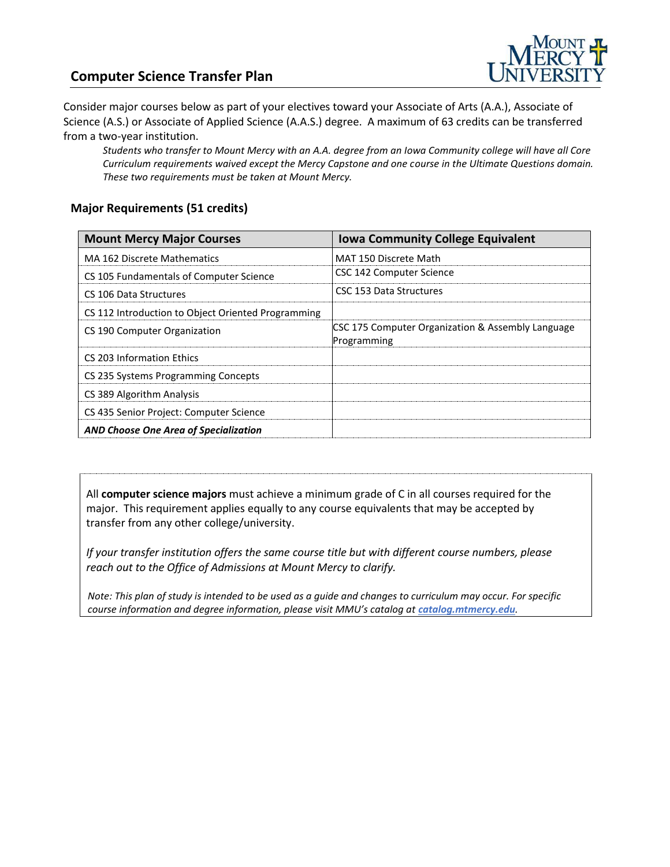### **Computer Science Transfer Plan**



Consider major courses below as part of your electives toward your Associate of Arts (A.A.), Associate of Science (A.S.) or Associate of Applied Science (A.A.S.) degree. A maximum of 63 credits can be transferred from a two-year institution.

*Students who transfer to Mount Mercy with an A.A. degree from an Iowa Community college will have all Core Curriculum requirements waived except the Mercy Capstone and one course in the Ultimate Questions domain. These two requirements must be taken at Mount Mercy.* 

#### **Major Requirements (51 credits)**

| <b>Mount Mercy Major Courses</b>                   | <b>Iowa Community College Equivalent</b>                         |
|----------------------------------------------------|------------------------------------------------------------------|
| MA 162 Discrete Mathematics                        | MAT 150 Discrete Math                                            |
| CS 105 Fundamentals of Computer Science            | CSC 142 Computer Science                                         |
| CS 106 Data Structures                             | CSC 153 Data Structures                                          |
| CS 112 Introduction to Object Oriented Programming |                                                                  |
| CS 190 Computer Organization                       | CSC 175 Computer Organization & Assembly Language<br>Programming |
| CS 203 Information Ethics                          |                                                                  |
| CS 235 Systems Programming Concepts                |                                                                  |
| CS 389 Algorithm Analysis                          |                                                                  |
| CS 435 Senior Project: Computer Science            |                                                                  |
| <b>AND Choose One Area of Specialization</b>       |                                                                  |

All **computer science majors** must achieve a minimum grade of C in all courses required for the major. This requirement applies equally to any course equivalents that may be accepted by transfer from any other college/university.

*If your transfer institution offers the same course title but with different course numbers, please reach out to the Office of Admissions at Mount Mercy to clarify.*

*Note: This plan of study is intended to be used as a guide and changes to curriculum may occur. For specific course information and degree information, please visit MMU's catalog at catalog.mtmercy.edu.*